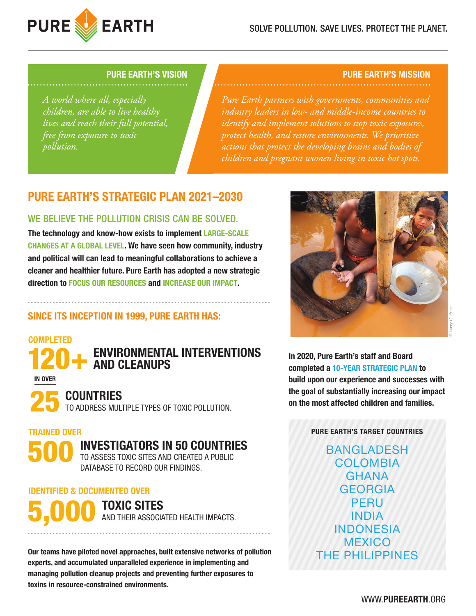

*A world where all, especially children, are able to live healthy lives and reach their full potential, free from exposure to toxic pollution.*

### **PURE EARTH'S VISION PURE EARTH'S MISSION**

*Pure Earth partners with governments, communities and industry leaders in low- and middle-income countries to identify and implement solutions to stop toxic exposures, protect health, and restore environments. We prioritize actions that protect the developing brains and bodies of children and pregnant women living in toxic hot spots.* 

# **PURE EARTH'S STRATEGIC PLAN 2021–2030**

## WE BELIEVE THE POLLUTION CRISIS CAN BE SOLVED.

**The technology and know-how exists to implement LARGE-SCALE CHANGES AT A GLOBAL LEVEL. We have seen how community, industry and political will can lead to meaningful collaborations to achieve a cleaner and healthier future. Pure Earth has adopted a new strategic direction to FOCUS OUR RESOURCES and INCREASE OUR IMPACT.**

# **SINCE ITS INCEPTION IN 1999, PURE EARTH HAS:**

# **COMPLETED**

**ENVIRONMENTAL INTERVENTIONS** 120+ **AND CLEANUPS**

**IN OVER**

**COUNTRIES 25 TO ADDRESS MULTIPLE TYPES OF TOXIC POLLUTION.** 

# **TRAINED OVER**

**INVESTIGATORS IN 50 COUNTRIES** 500

TO ASSESS TOXIC SITES AND CREATED A PUBLIC DATABASE TO RECORD OUR FINDINGS.

### **IDENTIFIED & DOCUMENTED OVER**

# **TOXIC SITES**<br>AND THEIR ASSOCIATED HEALTH IMPACTS.

**Our teams have piloted novel approaches, built extensive networks of pollution experts, and accumulated unparalleled experience in implementing and managing pollution cleanup projects and preventing further exposures to toxins in resource-constrained environments.**



**In 2020, Pure Earth's staff and Board completed a 10-YEAR STRATEGIC PLAN to build upon our experience and successes with the goal of substantially increasing our impact on the most affected children and families.**

### **PURE EARTH'S TARGET COUNTRIES**

BANGLADESH COLOMBIA **GHANA** GEORGIA PERU INDIA INDONESIA **MEXICO** THE PHILIPPINES